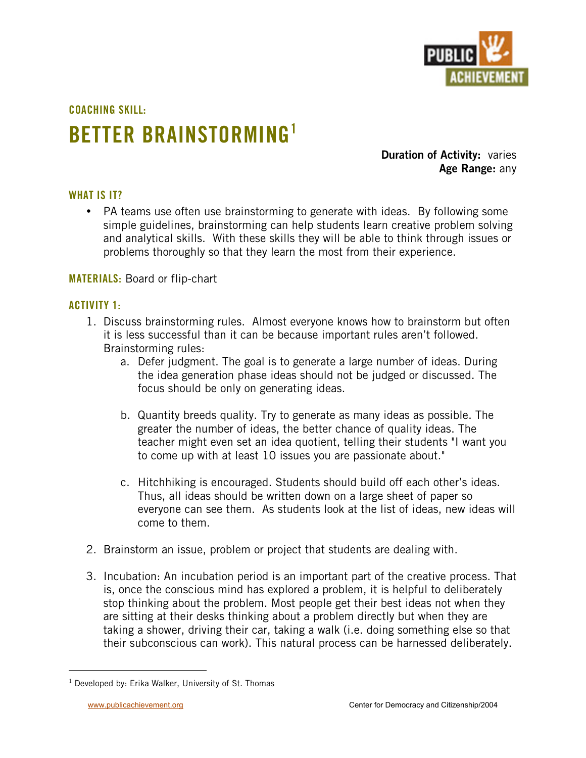

**COACHING SKILL:**

# **BETTER BRAINSTORMING1**

**Duration of Activity:** varies **Age Range:** any

# **WHAT IS IT?**

PA teams use often use brainstorming to generate with ideas. By following some simple guidelines, brainstorming can help students learn creative problem solving and analytical skills. With these skills they will be able to think through issues or problems thoroughly so that they learn the most from their experience.

# **MATERIALS:** Board or flip-chart

# **ACTIVITY 1:**

- 1. Discuss brainstorming rules. Almost everyone knows how to brainstorm but often it is less successful than it can be because important rules aren't followed. Brainstorming rules:
	- a. Defer judgment. The goal is to generate a large number of ideas. During the idea generation phase ideas should not be judged or discussed. The focus should be only on generating ideas.
	- b. Quantity breeds quality. Try to generate as many ideas as possible. The greater the number of ideas, the better chance of quality ideas. The teacher might even set an idea quotient, telling their students "I want you to come up with at least 10 issues you are passionate about."
	- c. Hitchhiking is encouraged. Students should build off each other's ideas. Thus, all ideas should be written down on a large sheet of paper so everyone can see them. As students look at the list of ideas, new ideas will come to them.
- 2. Brainstorm an issue, problem or project that students are dealing with.
- 3. Incubation: An incubation period is an important part of the creative process. That is, once the conscious mind has explored a problem, it is helpful to deliberately stop thinking about the problem. Most people get their best ideas not when they are sitting at their desks thinking about a problem directly but when they are taking a shower, driving their car, taking a walk (i.e. doing something else so that their subconscious can work). This natural process can be harnessed deliberately.

 $\overline{1}$  $1$  Developed by: Erika Walker, University of St. Thomas